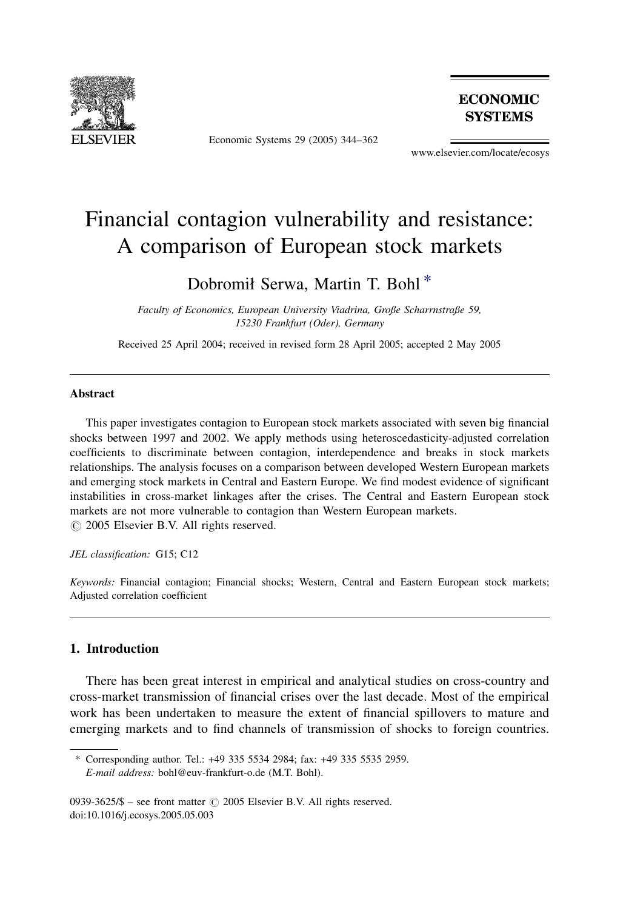

Economic Systems 29 (2005) 344–362

**ECONOMIC SYSTEMS** 

www.elsevier.com/locate/ecosys

## Financial contagion vulnerability and resistance: A comparison of European stock markets

### Dobromił Serwa, Martin T. Bohl \*

Faculty of Economics, European University Viadrina, Große Scharrnstraße 59, 15230 Frankfurt (Oder), Germany

Received 25 April 2004; received in revised form 28 April 2005; accepted 2 May 2005

#### Abstract

This paper investigates contagion to European stock markets associated with seven big financial shocks between 1997 and 2002. We apply methods using heteroscedasticity-adjusted correlation coefficients to discriminate between contagion, interdependence and breaks in stock markets relationships. The analysis focuses on a comparison between developed Western European markets and emerging stock markets in Central and Eastern Europe. We find modest evidence of significant instabilities in cross-market linkages after the crises. The Central and Eastern European stock markets are not more vulnerable to contagion than Western European markets.  $\circ$  2005 Elsevier B.V. All rights reserved.

JEL classification: G15; C12

Keywords: Financial contagion; Financial shocks; Western, Central and Eastern European stock markets; Adjusted correlation coefficient

### 1. Introduction

There has been great interest in empirical and analytical studies on cross-country and cross-market transmission of financial crises over the last decade. Most of the empirical work has been undertaken to measure the extent of financial spillovers to mature and emerging markets and to find channels of transmission of shocks to foreign countries.

<sup>\*</sup> Corresponding author. Tel.: +49 335 5534 2984; fax: +49 335 5535 2959. E-mail address: bohl@euv-frankfurt-o.de (M.T. Bohl).

<sup>0939-3625/\$ –</sup> see front matter  $\odot$  2005 Elsevier B.V. All rights reserved. doi:10.1016/j.ecosys.2005.05.003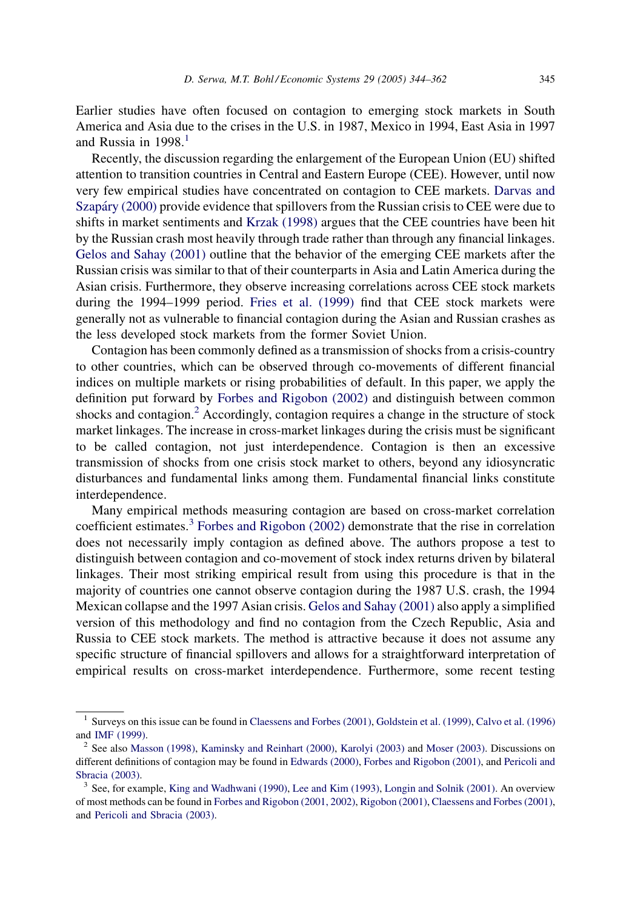Earlier studies have often focused on contagion to emerging stock markets in South America and Asia due to the crises in the U.S. in 1987, Mexico in 1994, East Asia in 1997 and Russia in  $1998<sup>1</sup>$ 

Recently, the discussion regarding the enlargement of the European Union (EU) shifted attention to transition countries in Central and Eastern Europe (CEE). However, until now very few empirical studies have concentrated on contagion to CEE markets. [Darvas and](#page--1-0) Szapáry (2000) provide evidence that spillovers from the Russian crisis to CEE were due to shifts in market sentiments and [Krzak \(1998\)](#page--1-0) argues that the CEE countries have been hit by the Russian crash most heavily through trade rather than through any financial linkages. [Gelos and Sahay \(2001\)](#page--1-0) outline that the behavior of the emerging CEE markets after the Russian crisis was similar to that of their counterparts in Asia and Latin America during the Asian crisis. Furthermore, they observe increasing correlations across CEE stock markets during the 1994–1999 period. [Fries et al. \(1999\)](#page--1-0) find that CEE stock markets were generally not as vulnerable to financial contagion during the Asian and Russian crashes as the less developed stock markets from the former Soviet Union.

Contagion has been commonly defined as a transmission of shocks from a crisis-country to other countries, which can be observed through co-movements of different financial indices on multiple markets or rising probabilities of default. In this paper, we apply the definition put forward by [Forbes and Rigobon \(2002\)](#page--1-0) and distinguish between common shocks and contagion.<sup>2</sup> Accordingly, contagion requires a change in the structure of stock market linkages. The increase in cross-market linkages during the crisis must be significant to be called contagion, not just interdependence. Contagion is then an excessive transmission of shocks from one crisis stock market to others, beyond any idiosyncratic disturbances and fundamental links among them. Fundamental financial links constitute interdependence.

Many empirical methods measuring contagion are based on cross-market correlation coefficient estimates.<sup>3</sup> [Forbes and Rigobon \(2002\)](#page--1-0) demonstrate that the rise in correlation does not necessarily imply contagion as defined above. The authors propose a test to distinguish between contagion and co-movement of stock index returns driven by bilateral linkages. Their most striking empirical result from using this procedure is that in the majority of countries one cannot observe contagion during the 1987 U.S. crash, the 1994 Mexican collapse and the 1997 Asian crisis. [Gelos and Sahay \(2001\)](#page--1-0) also apply a simplified version of this methodology and find no contagion from the Czech Republic, Asia and Russia to CEE stock markets. The method is attractive because it does not assume any specific structure of financial spillovers and allows for a straightforward interpretation of empirical results on cross-market interdependence. Furthermore, some recent testing

<sup>&</sup>lt;sup>1</sup> Surveys on this issue can be found in [Claessens and Forbes \(2001\),](#page--1-0) [Goldstein et al. \(1999\),](#page--1-0) [Calvo et al. \(1996\)](#page--1-0) and [IMF \(1999\).](#page--1-0)

<sup>&</sup>lt;sup>2</sup> See also [Masson \(1998\),](#page--1-0) [Kaminsky and Reinhart \(2000\)](#page--1-0), [Karolyi \(2003\)](#page--1-0) and [Moser \(2003\).](#page--1-0) Discussions on different definitions of contagion may be found in [Edwards \(2000\)](#page--1-0), [Forbes and Rigobon \(2001\),](#page--1-0) and [Pericoli and](#page--1-0) [Sbracia \(2003\)](#page--1-0).<br><sup>3</sup> See, for example, [King and Wadhwani \(1990\),](#page--1-0) [Lee and Kim \(1993\),](#page--1-0) [Longin and Solnik \(2001\)](#page--1-0). An overview

of most methods can be found in [Forbes and Rigobon \(2001, 2002\),](#page--1-0) [Rigobon \(2001\),](#page--1-0) [Claessens and Forbes \(2001\)](#page--1-0), and [Pericoli and Sbracia \(2003\)](#page--1-0).